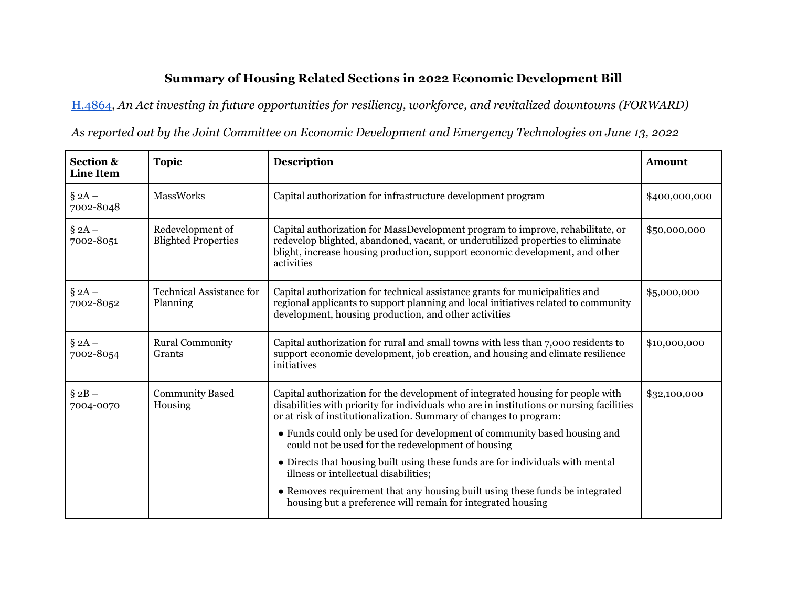## **Summary of Housing Related Sections in 2022 Economic Development Bill**

[H.4864,](http://malegislature.gov/bills/192/h4864) *An Act investing in future opportunities for resiliency, workforce, and revitalized downtowns (FORWARD)*

*As reported out by the Joint Committee on Economic Development and Emergency Technologies on June 13, 2022*

| <b>Section &amp;</b><br><b>Line Item</b> | <b>Topic</b>                                   | <b>Description</b>                                                                                                                                                                                                                                              | Amount        |
|------------------------------------------|------------------------------------------------|-----------------------------------------------------------------------------------------------------------------------------------------------------------------------------------------------------------------------------------------------------------------|---------------|
| $\S 2A -$<br>7002-8048                   | <b>MassWorks</b>                               | Capital authorization for infrastructure development program                                                                                                                                                                                                    | \$400,000,000 |
| $\S 2A -$<br>7002-8051                   | Redevelopment of<br><b>Blighted Properties</b> | Capital authorization for MassDevelopment program to improve, rehabilitate, or<br>redevelop blighted, abandoned, vacant, or underutilized properties to eliminate<br>blight, increase housing production, support economic development, and other<br>activities | \$50,000,000  |
| $\S 2A -$<br>7002-8052                   | <b>Technical Assistance for</b><br>Planning    | Capital authorization for technical assistance grants for municipalities and<br>regional applicants to support planning and local initiatives related to community<br>development, housing production, and other activities                                     | \$5,000,000   |
| $\S 2A -$<br>7002-8054                   | <b>Rural Community</b><br>Grants               | Capital authorization for rural and small towns with less than 7,000 residents to<br>support economic development, job creation, and housing and climate resilience<br>initiatives                                                                              | \$10,000,000  |
| $\S 2B -$<br>7004-0070                   | <b>Community Based</b><br>Housing              | Capital authorization for the development of integrated housing for people with<br>disabilities with priority for individuals who are in institutions or nursing facilities<br>or at risk of institutionalization. Summary of changes to program:               | \$32,100,000  |
|                                          |                                                | • Funds could only be used for development of community based housing and<br>could not be used for the redevelopment of housing                                                                                                                                 |               |
|                                          |                                                | • Directs that housing built using these funds are for individuals with mental<br>illness or intellectual disabilities;                                                                                                                                         |               |
|                                          |                                                | • Removes requirement that any housing built using these funds be integrated<br>housing but a preference will remain for integrated housing                                                                                                                     |               |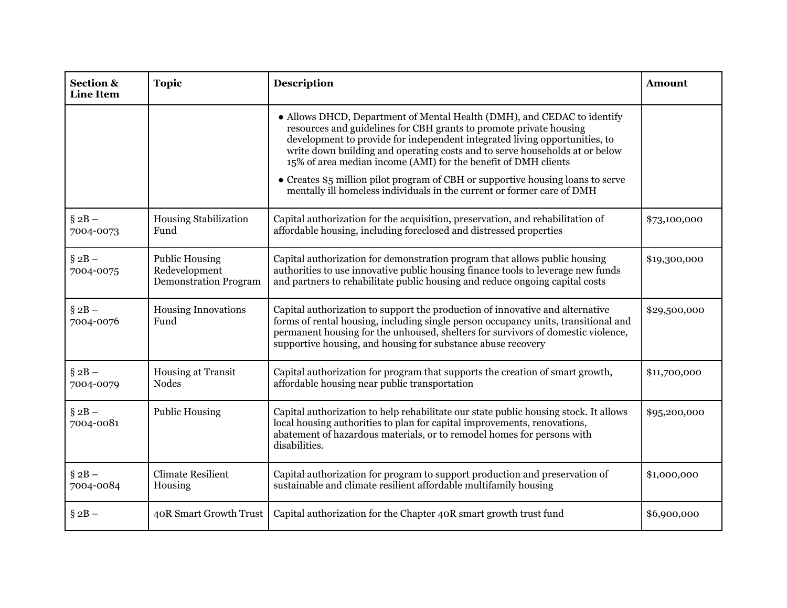| <b>Section &amp;</b><br><b>Line Item</b> | <b>Topic</b>                                                           | Description                                                                                                                                                                                                                                                                                                                                                                                                                                                                                                                               | <b>Amount</b> |
|------------------------------------------|------------------------------------------------------------------------|-------------------------------------------------------------------------------------------------------------------------------------------------------------------------------------------------------------------------------------------------------------------------------------------------------------------------------------------------------------------------------------------------------------------------------------------------------------------------------------------------------------------------------------------|---------------|
|                                          |                                                                        | • Allows DHCD, Department of Mental Health (DMH), and CEDAC to identify<br>resources and guidelines for CBH grants to promote private housing<br>development to provide for independent integrated living opportunities, to<br>write down building and operating costs and to serve households at or below<br>15% of area median income (AMI) for the benefit of DMH clients<br>• Creates \$5 million pilot program of CBH or supportive housing loans to serve<br>mentally ill homeless individuals in the current or former care of DMH |               |
| $\S 2B -$<br>7004-0073                   | <b>Housing Stabilization</b><br>Fund                                   | Capital authorization for the acquisition, preservation, and rehabilitation of<br>affordable housing, including foreclosed and distressed properties                                                                                                                                                                                                                                                                                                                                                                                      | \$73,100,000  |
| $§ 2B -$<br>7004-0075                    | <b>Public Housing</b><br>Redevelopment<br><b>Demonstration Program</b> | Capital authorization for demonstration program that allows public housing<br>authorities to use innovative public housing finance tools to leverage new funds<br>and partners to rehabilitate public housing and reduce ongoing capital costs                                                                                                                                                                                                                                                                                            | \$19,300,000  |
| $§ 2B -$<br>7004-0076                    | <b>Housing Innovations</b><br>Fund                                     | Capital authorization to support the production of innovative and alternative<br>forms of rental housing, including single person occupancy units, transitional and<br>permanent housing for the unhoused, shelters for survivors of domestic violence,<br>supportive housing, and housing for substance abuse recovery                                                                                                                                                                                                                   | \$29,500,000  |
| $§ 2B -$<br>7004-0079                    | Housing at Transit<br><b>Nodes</b>                                     | Capital authorization for program that supports the creation of smart growth,<br>affordable housing near public transportation                                                                                                                                                                                                                                                                                                                                                                                                            | \$11,700,000  |
| $§ 2B -$<br>7004-0081                    | <b>Public Housing</b>                                                  | Capital authorization to help rehabilitate our state public housing stock. It allows<br>local housing authorities to plan for capital improvements, renovations,<br>abatement of hazardous materials, or to remodel homes for persons with<br>disabilities.                                                                                                                                                                                                                                                                               | \$95,200,000  |
| $\S 2B -$<br>7004-0084                   | <b>Climate Resilient</b><br>Housing                                    | Capital authorization for program to support production and preservation of<br>sustainable and climate resilient affordable multifamily housing                                                                                                                                                                                                                                                                                                                                                                                           | \$1,000,000   |
| $\S 2B -$                                | 40R Smart Growth Trust                                                 | Capital authorization for the Chapter 40R smart growth trust fund                                                                                                                                                                                                                                                                                                                                                                                                                                                                         | \$6,900,000   |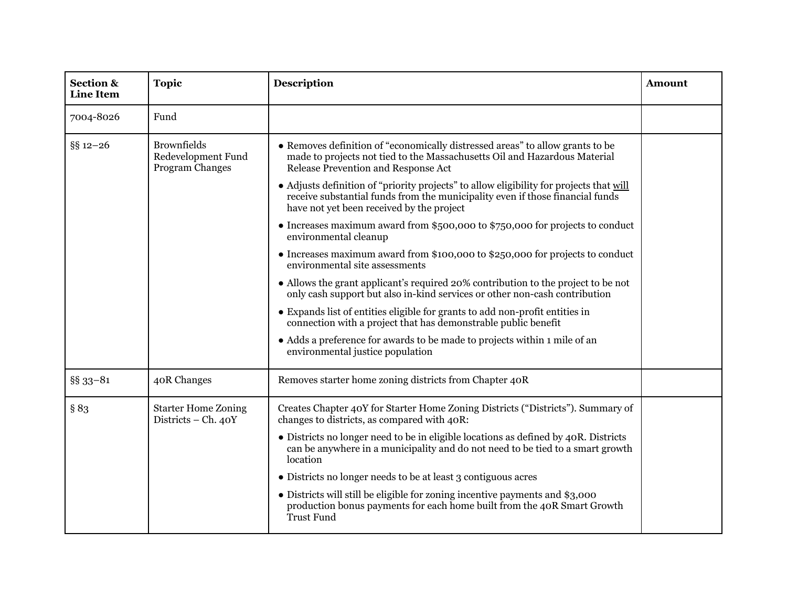| <b>Section &amp;</b><br><b>Line Item</b> | <b>Topic</b>                                                | <b>Description</b>                                                                                                                                                                                                    | <b>Amount</b> |
|------------------------------------------|-------------------------------------------------------------|-----------------------------------------------------------------------------------------------------------------------------------------------------------------------------------------------------------------------|---------------|
| 7004-8026                                | Fund                                                        |                                                                                                                                                                                                                       |               |
| $§$ § 12-26                              | <b>Brownfields</b><br>Redevelopment Fund<br>Program Changes | • Removes definition of "economically distressed areas" to allow grants to be<br>made to projects not tied to the Massachusetts Oil and Hazardous Material<br>Release Prevention and Response Act                     |               |
|                                          |                                                             | • Adjusts definition of "priority projects" to allow eligibility for projects that will<br>receive substantial funds from the municipality even if those financial funds<br>have not yet been received by the project |               |
|                                          |                                                             | • Increases maximum award from \$500,000 to \$750,000 for projects to conduct<br>environmental cleanup                                                                                                                |               |
|                                          |                                                             | • Increases maximum award from \$100,000 to \$250,000 for projects to conduct<br>environmental site assessments                                                                                                       |               |
|                                          |                                                             | • Allows the grant applicant's required 20% contribution to the project to be not<br>only cash support but also in-kind services or other non-cash contribution                                                       |               |
|                                          |                                                             | • Expands list of entities eligible for grants to add non-profit entities in<br>connection with a project that has demonstrable public benefit                                                                        |               |
|                                          |                                                             | • Adds a preference for awards to be made to projects within 1 mile of an<br>environmental justice population                                                                                                         |               |
| §§ 33-81                                 | 40R Changes                                                 | Removes starter home zoning districts from Chapter 40R                                                                                                                                                                |               |
| § 83                                     | <b>Starter Home Zoning</b><br>Districts - Ch. 40Y           | Creates Chapter 40Y for Starter Home Zoning Districts ("Districts"). Summary of<br>changes to districts, as compared with 40R:                                                                                        |               |
|                                          |                                                             | • Districts no longer need to be in eligible locations as defined by 40R. Districts<br>can be anywhere in a municipality and do not need to be tied to a smart growth<br>location                                     |               |
|                                          |                                                             | • Districts no longer needs to be at least 3 contiguous acres                                                                                                                                                         |               |
|                                          |                                                             | • Districts will still be eligible for zoning incentive payments and \$3,000<br>production bonus payments for each home built from the 40R Smart Growth<br>Trust Fund                                                 |               |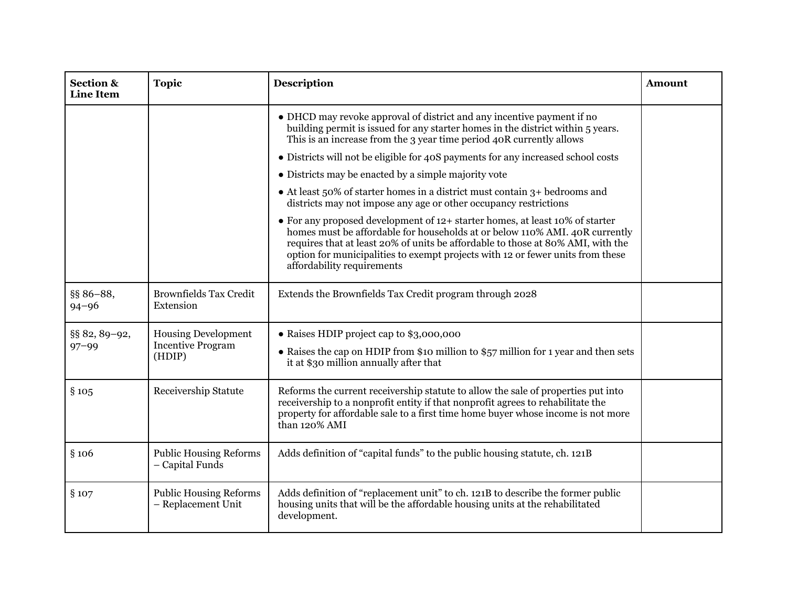| <b>Section &amp;</b><br><b>Line Item</b> | <b>Topic</b>                                              | <b>Description</b>                                                                                                                                                                                                                                                                                                                                             | <b>Amount</b> |
|------------------------------------------|-----------------------------------------------------------|----------------------------------------------------------------------------------------------------------------------------------------------------------------------------------------------------------------------------------------------------------------------------------------------------------------------------------------------------------------|---------------|
|                                          |                                                           | • DHCD may revoke approval of district and any incentive payment if no<br>building permit is issued for any starter homes in the district within 5 years.<br>This is an increase from the 3 year time period 40R currently allows                                                                                                                              |               |
|                                          |                                                           | • Districts will not be eligible for 40S payments for any increased school costs                                                                                                                                                                                                                                                                               |               |
|                                          |                                                           | • Districts may be enacted by a simple majority vote                                                                                                                                                                                                                                                                                                           |               |
|                                          |                                                           | • At least 50% of starter homes in a district must contain 3+ bedrooms and<br>districts may not impose any age or other occupancy restrictions                                                                                                                                                                                                                 |               |
|                                          |                                                           | • For any proposed development of 12+ starter homes, at least 10% of starter<br>homes must be affordable for households at or below 110% AMI. 40R currently<br>requires that at least 20% of units be affordable to those at 80% AMI, with the<br>option for municipalities to exempt projects with 12 or fewer units from these<br>affordability requirements |               |
| §§ 86-88,<br>$94 - 96$                   | <b>Brownfields Tax Credit</b><br>Extension                | Extends the Brownfields Tax Credit program through 2028                                                                                                                                                                                                                                                                                                        |               |
| §§ 82, 89-92,<br>$97 - 99$               | <b>Housing Development</b><br>Incentive Program<br>(HDIP) | • Raises HDIP project cap to \$3,000,000<br>• Raises the cap on HDIP from \$10 million to \$57 million for 1 year and then sets<br>it at \$30 million annually after that                                                                                                                                                                                      |               |
| §105                                     | Receivership Statute                                      | Reforms the current receivership statute to allow the sale of properties put into<br>receivership to a nonprofit entity if that nonprofit agrees to rehabilitate the<br>property for affordable sale to a first time home buyer whose income is not more<br>than 120% AMI                                                                                      |               |
| §106                                     | <b>Public Housing Reforms</b><br>- Capital Funds          | Adds definition of "capital funds" to the public housing statute, ch. 121B                                                                                                                                                                                                                                                                                     |               |
| §107                                     | <b>Public Housing Reforms</b><br>- Replacement Unit       | Adds definition of "replacement unit" to ch. 121B to describe the former public<br>housing units that will be the affordable housing units at the rehabilitated<br>development.                                                                                                                                                                                |               |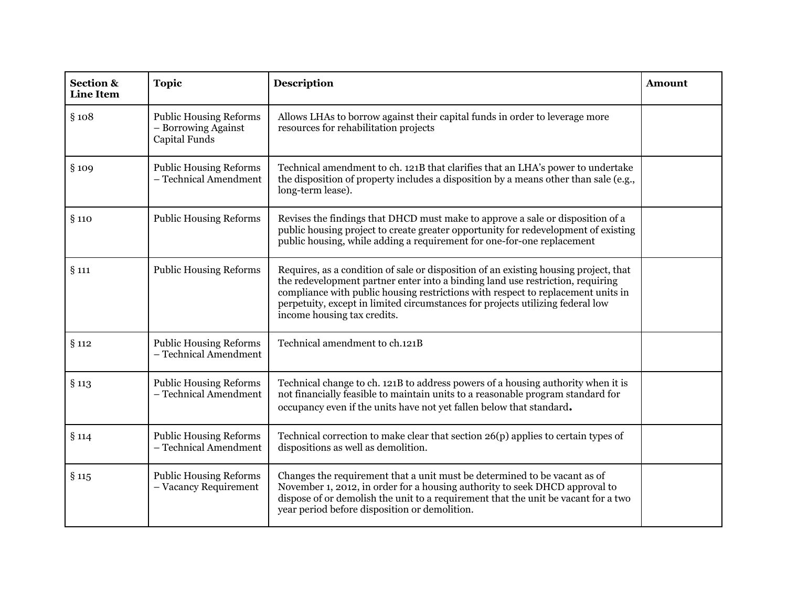| <b>Section &amp;</b><br><b>Line Item</b> | <b>Topic</b>                                                          | <b>Description</b>                                                                                                                                                                                                                                                                                                                                                          | Amount |
|------------------------------------------|-----------------------------------------------------------------------|-----------------------------------------------------------------------------------------------------------------------------------------------------------------------------------------------------------------------------------------------------------------------------------------------------------------------------------------------------------------------------|--------|
| §108                                     | <b>Public Housing Reforms</b><br>- Borrowing Against<br>Capital Funds | Allows LHAs to borrow against their capital funds in order to leverage more<br>resources for rehabilitation projects                                                                                                                                                                                                                                                        |        |
| §109                                     | <b>Public Housing Reforms</b><br>- Technical Amendment                | Technical amendment to ch. 121B that clarifies that an LHA's power to undertake<br>the disposition of property includes a disposition by a means other than sale (e.g.,<br>long-term lease).                                                                                                                                                                                |        |
| §110                                     | <b>Public Housing Reforms</b>                                         | Revises the findings that DHCD must make to approve a sale or disposition of a<br>public housing project to create greater opportunity for redevelopment of existing<br>public housing, while adding a requirement for one-for-one replacement                                                                                                                              |        |
| $§$ 111                                  | <b>Public Housing Reforms</b>                                         | Requires, as a condition of sale or disposition of an existing housing project, that<br>the redevelopment partner enter into a binding land use restriction, requiring<br>compliance with public housing restrictions with respect to replacement units in<br>perpetuity, except in limited circumstances for projects utilizing federal low<br>income housing tax credits. |        |
| § 112                                    | <b>Public Housing Reforms</b><br>- Technical Amendment                | Technical amendment to ch.121B                                                                                                                                                                                                                                                                                                                                              |        |
| $§$ 113                                  | <b>Public Housing Reforms</b><br>- Technical Amendment                | Technical change to ch. 121B to address powers of a housing authority when it is<br>not financially feasible to maintain units to a reasonable program standard for<br>occupancy even if the units have not yet fallen below that standard.                                                                                                                                 |        |
| §114                                     | <b>Public Housing Reforms</b><br>- Technical Amendment                | Technical correction to make clear that section 26(p) applies to certain types of<br>dispositions as well as demolition.                                                                                                                                                                                                                                                    |        |
| $§$ 115                                  | <b>Public Housing Reforms</b><br>- Vacancy Requirement                | Changes the requirement that a unit must be determined to be vacant as of<br>November 1, 2012, in order for a housing authority to seek DHCD approval to<br>dispose of or demolish the unit to a requirement that the unit be vacant for a two<br>year period before disposition or demolition.                                                                             |        |